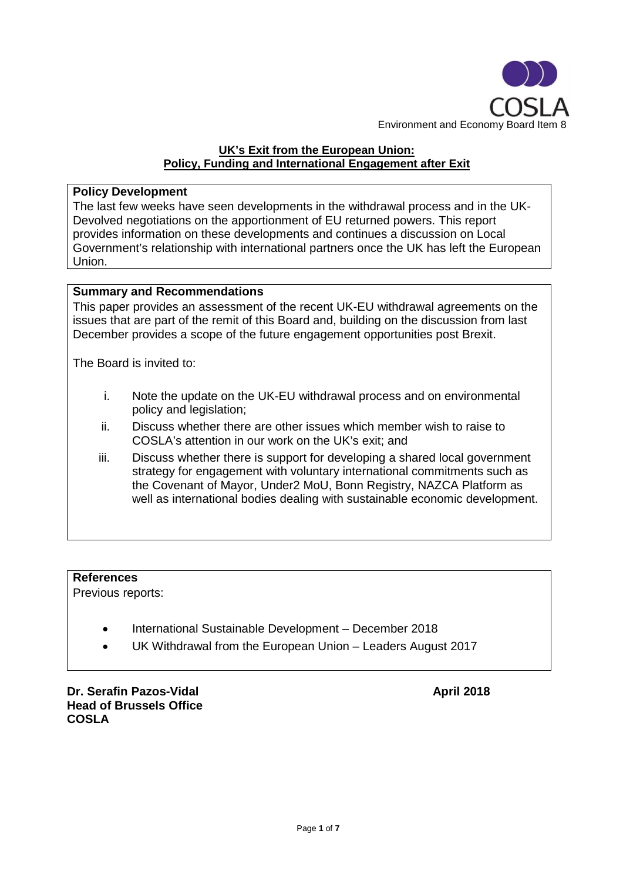

## **UK's Exit from the European Union: Policy, Funding and International Engagement after Exit**

## **Policy Development**

The last few weeks have seen developments in the withdrawal process and in the UK-Devolved negotiations on the apportionment of EU returned powers. This report provides information on these developments and continues a discussion on Local Government's relationship with international partners once the UK has left the European Union.

### **Summary and Recommendations**

This paper provides an assessment of the recent UK-EU withdrawal agreements on the issues that are part of the remit of this Board and, building on the discussion from last December provides a scope of the future engagement opportunities post Brexit.

The Board is invited to:

- i. Note the update on the UK-EU withdrawal process and on environmental policy and legislation;
- ii. Discuss whether there are other issues which member wish to raise to COSLA's attention in our work on the UK's exit; and
- iii. Discuss whether there is support for developing a shared local government strategy for engagement with voluntary international commitments such as the Covenant of Mayor, Under2 MoU, Bonn Registry, NAZCA Platform as well as international bodies dealing with sustainable economic development.

# **References**

Previous reports:

- International Sustainable Development December 2018
- UK Withdrawal from the European Union Leaders August 2017

**Dr. Serafin Pazos-Vidal April 2018 Head of Brussels Office COSLA**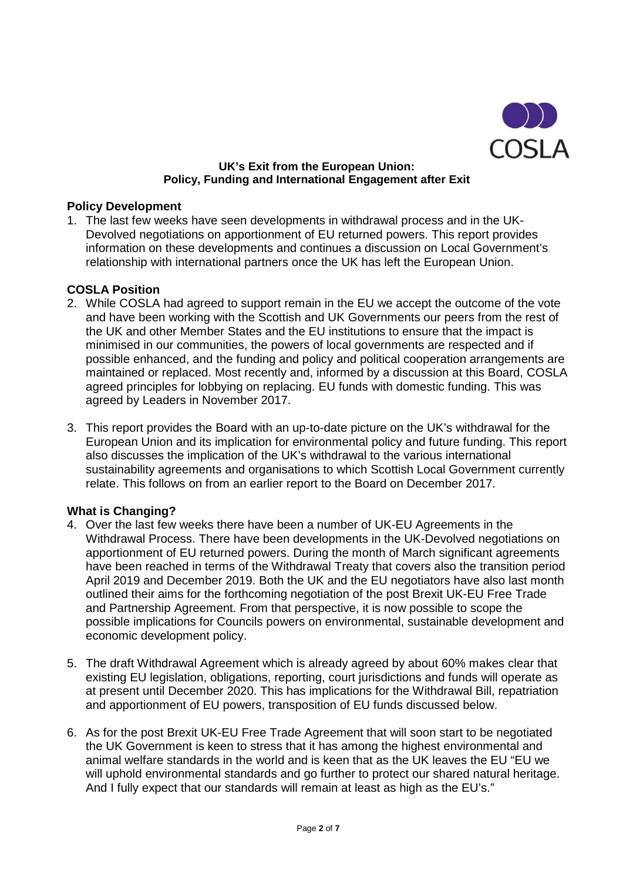

#### **UK's Exit from the European Union: Policy, Funding and International Engagement after Exit**

#### **Policy Development**

1. The last few weeks have seen developments in withdrawal process and in the UK-Devolved negotiations on apportionment of EU returned powers. This report provides information on these developments and continues a discussion on Local Government's relationship with international partners once the UK has left the European Union.

### **COSLA Position**

- 2. While COSLA had agreed to support remain in the EU we accept the outcome of the vote and have been working with the Scottish and UK Governments our peers from the rest of the UK and other Member States and the EU institutions to ensure that the impact is minimised in our communities, the powers of local governments are respected and if possible enhanced, and the funding and policy and political cooperation arrangements are maintained or replaced. Most recently and, informed by a discussion at this Board, COSLA agreed principles for lobbying on replacing. EU funds with domestic funding. This was agreed by Leaders in November 2017.
- 3. This report provides the Board with an up-to-date picture on the UK's withdrawal for the European Union and its implication for environmental policy and future funding. This report also discusses the implication of the UK's withdrawal to the various international sustainability agreements and organisations to which Scottish Local Government currently relate. This follows on from an earlier report to the Board on December 2017.

#### **What is Changing?**

- 4. Over the last few weeks there have been a number of UK-EU Agreements in the Withdrawal Process. There have been developments in the UK-Devolved negotiations on apportionment of EU returned powers. During the month of March significant agreements have been reached in terms of the Withdrawal Treaty that covers also the transition period April 2019 and December 2019. Both the UK and the EU negotiators have also last month outlined their aims for the forthcoming negotiation of the post Brexit UK-EU Free Trade and Partnership Agreement. From that perspective, it is now possible to scope the possible implications for Councils powers on environmental, sustainable development and economic development policy.
- 5. The draft Withdrawal Agreement which is already agreed by about 60% makes clear that existing EU legislation, obligations, reporting, court jurisdictions and funds will operate as at present until December 2020. This has implications for the Withdrawal Bill, repatriation and apportionment of EU powers, transposition of EU funds discussed below.
- 6. As for the post Brexit UK-EU Free Trade Agreement that will soon start to be negotiated the UK Government is keen to stress that it has among the highest environmental and animal welfare standards in the world and is keen that as the UK leaves the EU "EU we will uphold environmental standards and go further to protect our shared natural heritage. And I fully expect that our standards will remain at least as high as the EU's."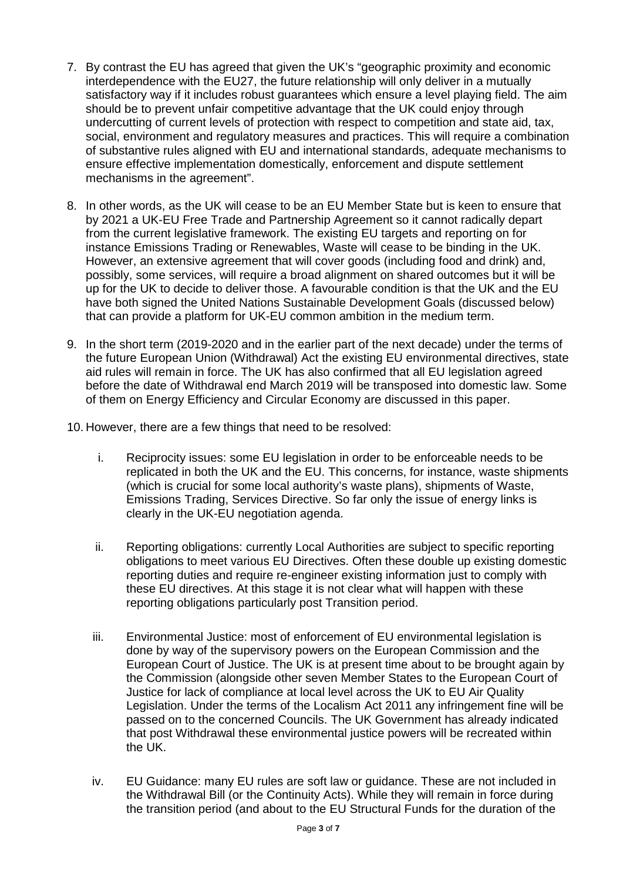- 7. By contrast the EU has agreed that given the UK's "geographic proximity and economic interdependence with the EU27, the future relationship will only deliver in a mutually satisfactory way if it includes robust guarantees which ensure a level playing field. The aim should be to prevent unfair competitive advantage that the UK could enjoy through undercutting of current levels of protection with respect to competition and state aid, tax, social, environment and regulatory measures and practices. This will require a combination of substantive rules aligned with EU and international standards, adequate mechanisms to ensure effective implementation domestically, enforcement and dispute settlement mechanisms in the agreement".
- 8. In other words, as the UK will cease to be an EU Member State but is keen to ensure that by 2021 a UK-EU Free Trade and Partnership Agreement so it cannot radically depart from the current legislative framework. The existing EU targets and reporting on for instance Emissions Trading or Renewables, Waste will cease to be binding in the UK. However, an extensive agreement that will cover goods (including food and drink) and, possibly, some services, will require a broad alignment on shared outcomes but it will be up for the UK to decide to deliver those. A favourable condition is that the UK and the EU have both signed the United Nations Sustainable Development Goals (discussed below) that can provide a platform for UK-EU common ambition in the medium term.
- 9. In the short term (2019-2020 and in the earlier part of the next decade) under the terms of the future European Union (Withdrawal) Act the existing EU environmental directives, state aid rules will remain in force. The UK has also confirmed that all EU legislation agreed before the date of Withdrawal end March 2019 will be transposed into domestic law. Some of them on Energy Efficiency and Circular Economy are discussed in this paper.
- 10. However, there are a few things that need to be resolved:
	- i. Reciprocity issues: some EU legislation in order to be enforceable needs to be replicated in both the UK and the EU. This concerns, for instance, waste shipments (which is crucial for some local authority's waste plans), shipments of Waste, Emissions Trading, Services Directive. So far only the issue of energy links is clearly in the UK-EU negotiation agenda.
	- ii. Reporting obligations: currently Local Authorities are subject to specific reporting obligations to meet various EU Directives. Often these double up existing domestic reporting duties and require re-engineer existing information just to comply with these EU directives. At this stage it is not clear what will happen with these reporting obligations particularly post Transition period.
	- iii. Environmental Justice: most of enforcement of EU environmental legislation is done by way of the supervisory powers on the European Commission and the European Court of Justice. The UK is at present time about to be brought again by the Commission (alongside other seven Member States to the European Court of Justice for lack of compliance at local level across the UK to EU Air Quality Legislation. Under the terms of the Localism Act 2011 any infringement fine will be passed on to the concerned Councils. The UK Government has already indicated that post Withdrawal these environmental justice powers will be recreated within the UK.
	- iv. EU Guidance: many EU rules are soft law or guidance. These are not included in the Withdrawal Bill (or the Continuity Acts). While they will remain in force during the transition period (and about to the EU Structural Funds for the duration of the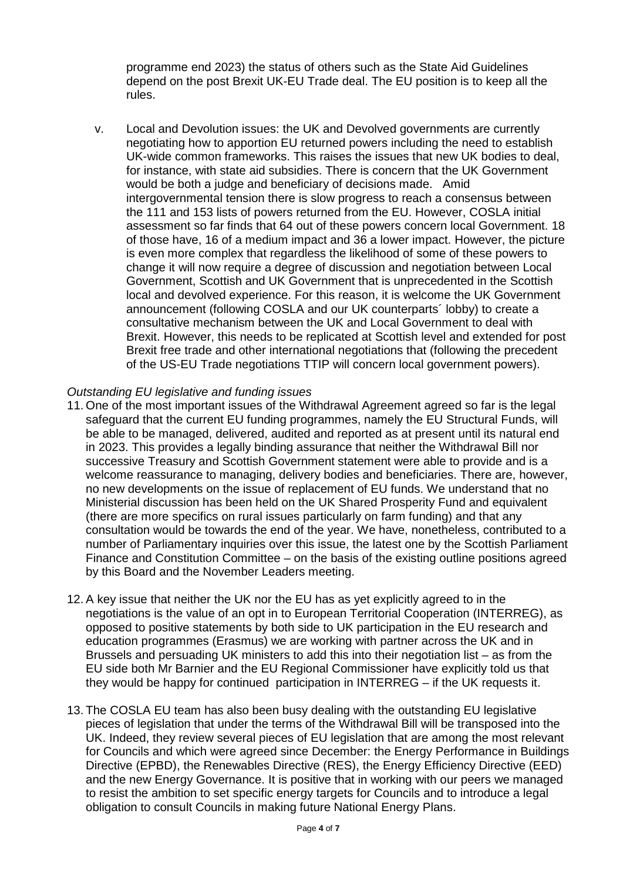programme end 2023) the status of others such as the State Aid Guidelines depend on the post Brexit UK-EU Trade deal. The EU position is to keep all the rules.

v. Local and Devolution issues: the UK and Devolved governments are currently negotiating how to apportion EU returned powers including the need to establish UK-wide common frameworks. This raises the issues that new UK bodies to deal, for instance, with state aid subsidies. There is concern that the UK Government would be both a judge and beneficiary of decisions made. Amid intergovernmental tension there is slow progress to reach a consensus between the 111 and 153 lists of powers returned from the EU. However, COSLA initial assessment so far finds that 64 out of these powers concern local Government. 18 of those have, 16 of a medium impact and 36 a lower impact. However, the picture is even more complex that regardless the likelihood of some of these powers to change it will now require a degree of discussion and negotiation between Local Government, Scottish and UK Government that is unprecedented in the Scottish local and devolved experience. For this reason, it is welcome the UK Government announcement (following COSLA and our UK counterparts´ lobby) to create a consultative mechanism between the UK and Local Government to deal with Brexit. However, this needs to be replicated at Scottish level and extended for post Brexit free trade and other international negotiations that (following the precedent of the US-EU Trade negotiations TTIP will concern local government powers).

#### *Outstanding EU legislative and funding issues*

- 11. One of the most important issues of the Withdrawal Agreement agreed so far is the legal safeguard that the current EU funding programmes, namely the EU Structural Funds. will be able to be managed, delivered, audited and reported as at present until its natural end in 2023. This provides a legally binding assurance that neither the Withdrawal Bill nor successive Treasury and Scottish Government statement were able to provide and is a welcome reassurance to managing, delivery bodies and beneficiaries. There are, however, no new developments on the issue of replacement of EU funds. We understand that no Ministerial discussion has been held on the UK Shared Prosperity Fund and equivalent (there are more specifics on rural issues particularly on farm funding) and that any consultation would be towards the end of the year. We have, nonetheless, contributed to a number of Parliamentary inquiries over this issue, the latest one by the Scottish Parliament Finance and Constitution Committee – on the basis of the existing outline positions agreed by this Board and the November Leaders meeting.
- 12. A key issue that neither the UK nor the EU has as yet explicitly agreed to in the negotiations is the value of an opt in to European Territorial Cooperation (INTERREG), as opposed to positive statements by both side to UK participation in the EU research and education programmes (Erasmus) we are working with partner across the UK and in Brussels and persuading UK ministers to add this into their negotiation list – as from the EU side both Mr Barnier and the EU Regional Commissioner have explicitly told us that they would be happy for continued participation in INTERREG – if the UK requests it.
- 13. The COSLA EU team has also been busy dealing with the outstanding EU legislative pieces of legislation that under the terms of the Withdrawal Bill will be transposed into the UK. Indeed, they review several pieces of EU legislation that are among the most relevant for Councils and which were agreed since December: the Energy Performance in Buildings Directive (EPBD), the Renewables Directive (RES), the Energy Efficiency Directive (EED) and the new Energy Governance. It is positive that in working with our peers we managed to resist the ambition to set specific energy targets for Councils and to introduce a legal obligation to consult Councils in making future National Energy Plans.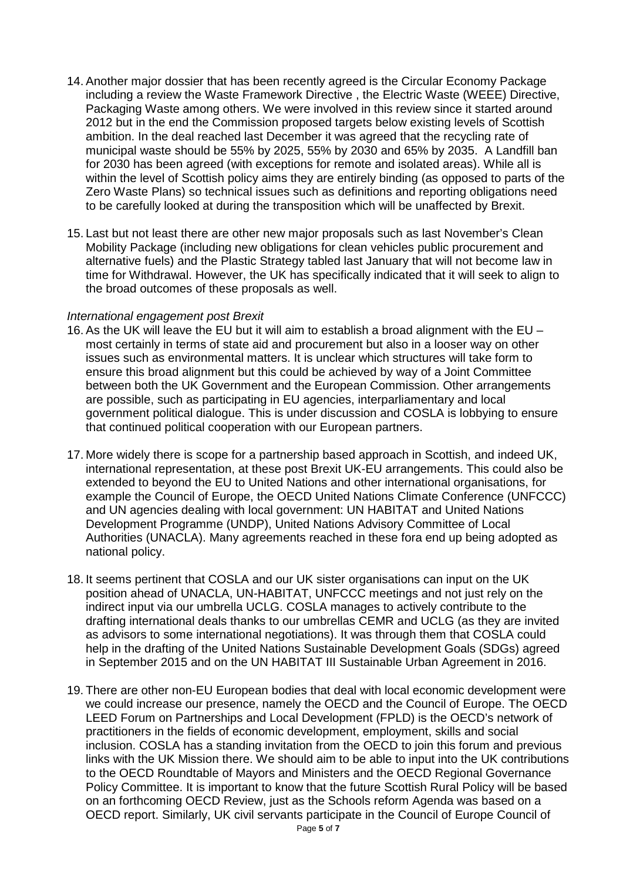- 14. Another major dossier that has been recently agreed is the Circular Economy Package including a review the Waste Framework Directive , the Electric Waste (WEEE) Directive, Packaging Waste among others. We were involved in this review since it started around 2012 but in the end the Commission proposed targets below existing levels of Scottish ambition. In the deal reached last December it was agreed that the recycling rate of municipal waste should be 55% by 2025, 55% by 2030 and 65% by 2035. A Landfill ban for 2030 has been agreed (with exceptions for remote and isolated areas). While all is within the level of Scottish policy aims they are entirely binding (as opposed to parts of the Zero Waste Plans) so technical issues such as definitions and reporting obligations need to be carefully looked at during the transposition which will be unaffected by Brexit.
- 15. Last but not least there are other new major proposals such as last November's Clean Mobility Package (including new obligations for clean vehicles public procurement and alternative fuels) and the Plastic Strategy tabled last January that will not become law in time for Withdrawal. However, the UK has specifically indicated that it will seek to align to the broad outcomes of these proposals as well.

#### *International engagement post Brexit*

- 16. As the UK will leave the EU but it will aim to establish a broad alignment with the EU most certainly in terms of state aid and procurement but also in a looser way on other issues such as environmental matters. It is unclear which structures will take form to ensure this broad alignment but this could be achieved by way of a Joint Committee between both the UK Government and the European Commission. Other arrangements are possible, such as participating in EU agencies, interparliamentary and local government political dialogue. This is under discussion and COSLA is lobbying to ensure that continued political cooperation with our European partners.
- 17. More widely there is scope for a partnership based approach in Scottish, and indeed UK, international representation, at these post Brexit UK-EU arrangements. This could also be extended to beyond the EU to United Nations and other international organisations, for example the Council of Europe, the OECD United Nations Climate Conference (UNFCCC) and UN agencies dealing with local government: UN HABITAT and United Nations Development Programme (UNDP), United Nations Advisory Committee of Local Authorities (UNACLA). Many agreements reached in these fora end up being adopted as national policy.
- 18. It seems pertinent that COSLA and our UK sister organisations can input on the UK position ahead of UNACLA, UN-HABITAT, UNFCCC meetings and not just rely on the indirect input via our umbrella UCLG. COSLA manages to actively contribute to the drafting international deals thanks to our umbrellas CEMR and UCLG (as they are invited as advisors to some international negotiations). It was through them that COSLA could help in the drafting of the United Nations Sustainable Development Goals (SDGs) agreed in September 2015 and on the UN HABITAT III Sustainable Urban Agreement in 2016.
- 19. There are other non-EU European bodies that deal with local economic development were we could increase our presence, namely the OECD and the Council of Europe. The OECD LEED Forum on Partnerships and Local Development (FPLD) is the OECD's network of practitioners in the fields of economic development, employment, skills and social inclusion. COSLA has a standing invitation from the OECD to join this forum and previous links with the UK Mission there. We should aim to be able to input into the UK contributions to the OECD Roundtable of Mayors and Ministers and the OECD Regional Governance Policy Committee. It is important to know that the future Scottish Rural Policy will be based on an forthcoming OECD Review, just as the Schools reform Agenda was based on a OECD report. Similarly, UK civil servants participate in the Council of Europe Council of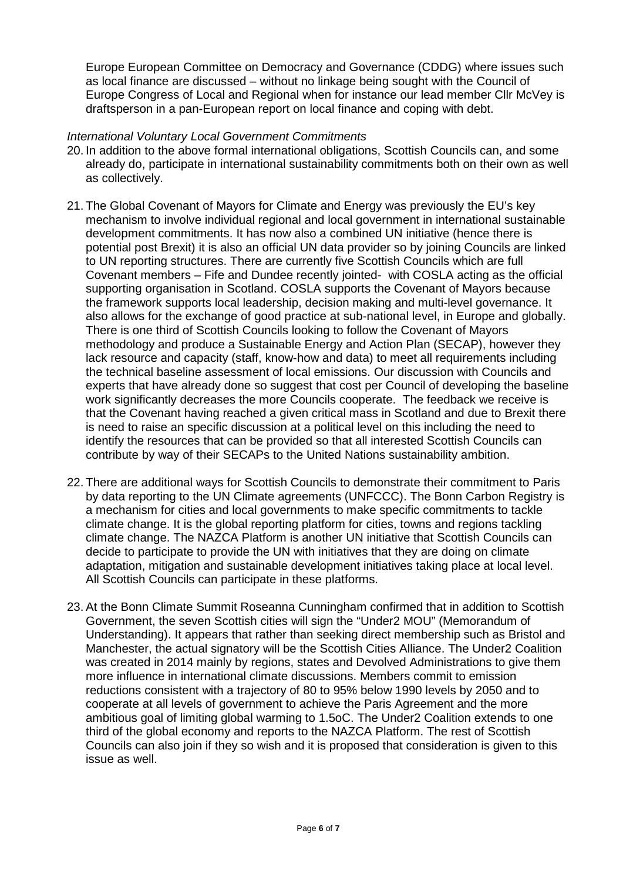Europe European Committee on Democracy and Governance (CDDG) where issues such as local finance are discussed – without no linkage being sought with the Council of Europe Congress of Local and Regional when for instance our lead member Cllr McVey is draftsperson in a pan-European report on local finance and coping with debt.

## *International Voluntary Local Government Commitments*

- 20. In addition to the above formal international obligations, Scottish Councils can, and some already do, participate in international sustainability commitments both on their own as well as collectively.
- 21. The Global Covenant of Mayors for Climate and Energy was previously the EU's key mechanism to involve individual regional and local government in international sustainable development commitments. It has now also a combined UN initiative (hence there is potential post Brexit) it is also an official UN data provider so by joining Councils are linked to UN reporting structures. There are currently five Scottish Councils which are full Covenant members – Fife and Dundee recently jointed- with COSLA acting as the official supporting organisation in Scotland. COSLA supports the Covenant of Mayors because the framework supports local leadership, decision making and multi-level governance. It also allows for the exchange of good practice at sub-national level, in Europe and globally. There is one third of Scottish Councils looking to follow the Covenant of Mayors methodology and produce a Sustainable Energy and Action Plan (SECAP), however they lack resource and capacity (staff, know-how and data) to meet all requirements including the technical baseline assessment of local emissions. Our discussion with Councils and experts that have already done so suggest that cost per Council of developing the baseline work significantly decreases the more Councils cooperate. The feedback we receive is that the Covenant having reached a given critical mass in Scotland and due to Brexit there is need to raise an specific discussion at a political level on this including the need to identify the resources that can be provided so that all interested Scottish Councils can contribute by way of their SECAPs to the United Nations sustainability ambition.
- 22. There are additional ways for Scottish Councils to demonstrate their commitment to Paris by data reporting to the UN Climate agreements (UNFCCC). The Bonn Carbon Registry is a mechanism for cities and local governments to make specific commitments to tackle climate change. It is the global reporting platform for cities, towns and regions tackling climate change. The NAZCA Platform is another UN initiative that Scottish Councils can decide to participate to provide the UN with initiatives that they are doing on climate adaptation, mitigation and sustainable development initiatives taking place at local level. All Scottish Councils can participate in these platforms.
- 23. At the Bonn Climate Summit Roseanna Cunningham confirmed that in addition to Scottish Government, the seven Scottish cities will sign the "Under2 MOU" (Memorandum of Understanding). It appears that rather than seeking direct membership such as Bristol and Manchester, the actual signatory will be the Scottish Cities Alliance. The Under2 Coalition was created in 2014 mainly by regions, states and Devolved Administrations to give them more influence in international climate discussions. Members commit to emission reductions consistent with a trajectory of 80 to 95% below 1990 levels by 2050 and to cooperate at all levels of government to achieve the Paris Agreement and the more ambitious goal of limiting global warming to 1.5oC. The Under2 Coalition extends to one third of the global economy and reports to the NAZCA Platform. The rest of Scottish Councils can also join if they so wish and it is proposed that consideration is given to this issue as well.